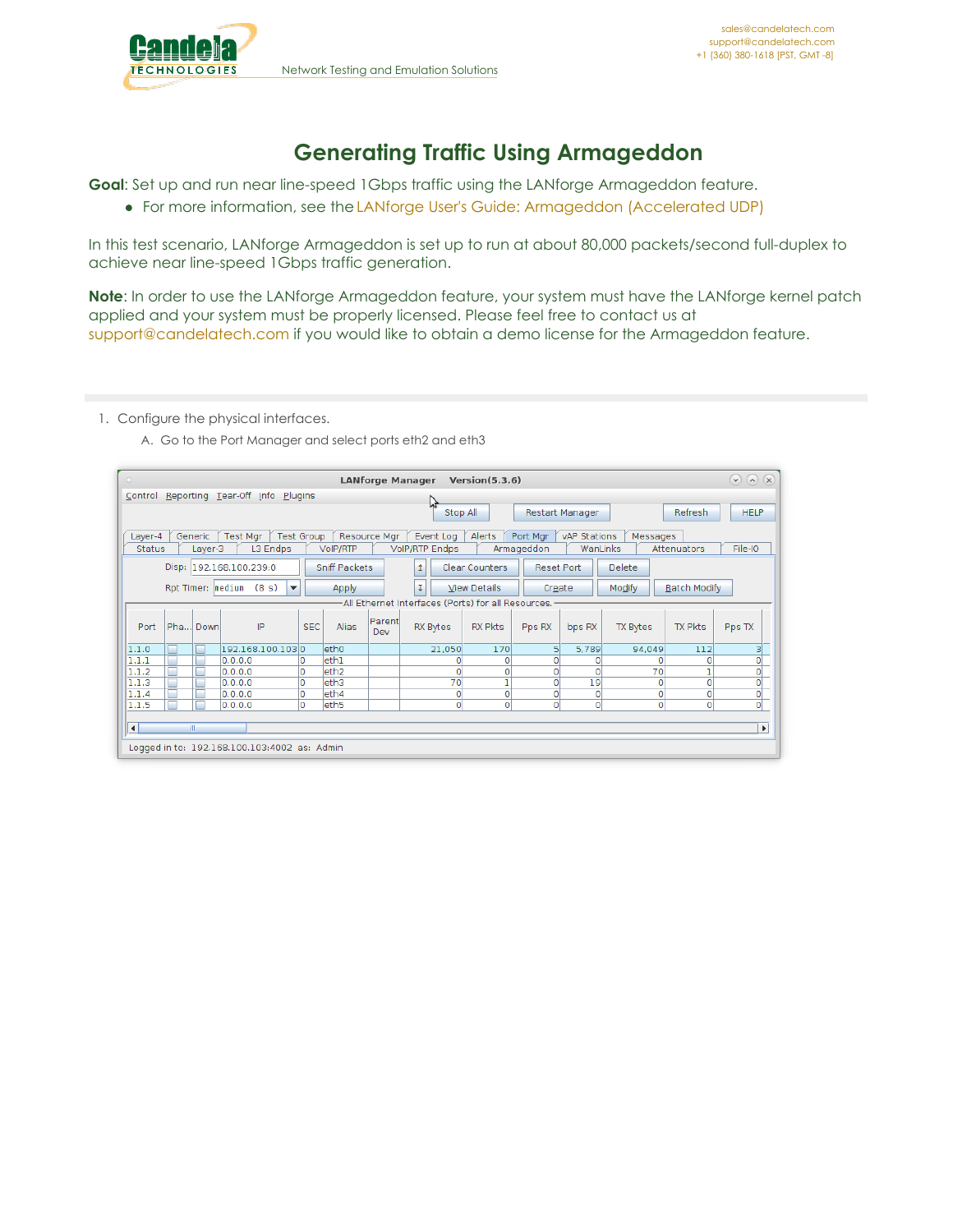

## **Generating Traffic Using Armageddon**

**Goal**: Set up and run near line-speed 1Gbps traffic using the LANforge Armageddon feature.

For more information, see the LANforge User's Guide: [Armageddon](http://www.candelatech.com/lfgui_ug.php#arm) (Accelerated UDP)

In this test scenario, LANforge Armageddon is set up to run at about 80,000 packets/second full-duplex to achieve near line-speed 1Gbps traffic generation.

**Note**: In order to use the LANforge Armageddon feature, your system must have the LANforge kernel patch applied and your system must be properly licensed. Please feel free to contact us at [support@candelatech.com](mailto:support@candelatech.com) if you would like to obtain a demo license for the Armageddon feature.

1. Configure the physical interfaces.

A. Go to the Port Manager and select ports eth2 and eth3

| $\circ$             |                   |                                              |            |                      |               | <b>LANforge Manager</b>                             | Version(5.3.6)        |                   |                 |               |                     | (x)<br>$(v)$ $(v)$        |
|---------------------|-------------------|----------------------------------------------|------------|----------------------|---------------|-----------------------------------------------------|-----------------------|-------------------|-----------------|---------------|---------------------|---------------------------|
| Control             |                   | Reporting Tear-Off Info                      | Plugins    |                      |               |                                                     |                       |                   |                 |               |                     |                           |
|                     |                   |                                              |            |                      |               | hł<br>Stop All                                      |                       |                   | Restart Manager |               | Refresh             | <b>HELP</b>               |
| Layer-4             | Generic           | Test Mgr                                     | Test Group | Resource Mgr         |               | Event Log                                           | Alerts                | Port Mgr          | vAP Stations    | Messages      |                     |                           |
| <b>Status</b>       | Layer-3           | L3 Endps                                     |            | VoIP/RTP             |               | <b>VolP/RTP Endps</b>                               |                       | Armageddon        | WanLinks        |               | Attenuators         | File-IO                   |
|                     |                   | Disp: 192.168.100.239:0                      |            | <b>Sniff Packets</b> |               | 1                                                   | <b>Clear Counters</b> | <b>Reset Port</b> |                 | <b>Delete</b> |                     |                           |
|                     | Rpt Timer: medium | (8 s)<br>$\blacktriangledown$                |            | Apply                |               | T.                                                  | <b>View Details</b>   | Create            |                 | Modify        | <b>Batch Modify</b> |                           |
|                     |                   |                                              |            |                      |               | -All Ethernet Interfaces (Ports) for all Resources. |                       |                   |                 |               |                     |                           |
| Pha<br>Port         | Down              | IP                                           | <b>SEC</b> | Alias                | Parent<br>Dev | RX Bytes                                            | <b>RX Pkts</b>        | Pps RX            | bps RX          | TX Bytes      | <b>TX Pkts</b>      | Pps TX                    |
| Е<br>1.1.0          |                   | 192.168.100.1030                             |            | eth <sub>0</sub>     |               | 21,050                                              | 170                   | 51                | 5,789           | 94,049        | 112                 | 3                         |
| П<br>1.1.1          | п                 | [0, 0, 0, 0]                                 |            | leth1                |               | 0                                                   |                       | $\Omega$          | 0               | o             | 0                   | $\overline{\mathfrak{o}}$ |
| г<br>1.1.2          | Г                 | 0.0.0.0                                      | l0.        | leth <sub>2</sub>    |               | $\Omega$                                            |                       | $\circ$           | 0               | 70            |                     | 이                         |
| Г<br>1.1.3          |                   | 0.0.0.0                                      | ١o         | leth3                |               | 70                                                  |                       | $\overline{0}$    | 19              | 0             | 0                   | $\frac{1}{\sqrt{2}}$      |
| $\Box$<br>1.1.4     |                   | 0.0.0.0                                      | O          | leth4                |               | 0                                                   | 0                     | $\circ$           | 0               | O             | 0                   |                           |
| г<br>1.1.5          | ⊏                 | 0,0,0,0                                      | ١o         | leth <sub>5</sub>    |               | $\mathbf 0$                                         | $\overline{0}$        | $\overline{0}$    | $\circ$         | $\circ$       | $\circ$             | ōİ                        |
|                     |                   |                                              |            |                      |               |                                                     |                       |                   |                 |               |                     |                           |
| $\vert \cdot \vert$ | Ш                 |                                              |            |                      |               |                                                     |                       |                   |                 |               |                     | $\blacktriangleright$     |
|                     |                   | Logged in to: 192.168.100.103:4002 as: Admin |            |                      |               |                                                     |                       |                   |                 |               |                     |                           |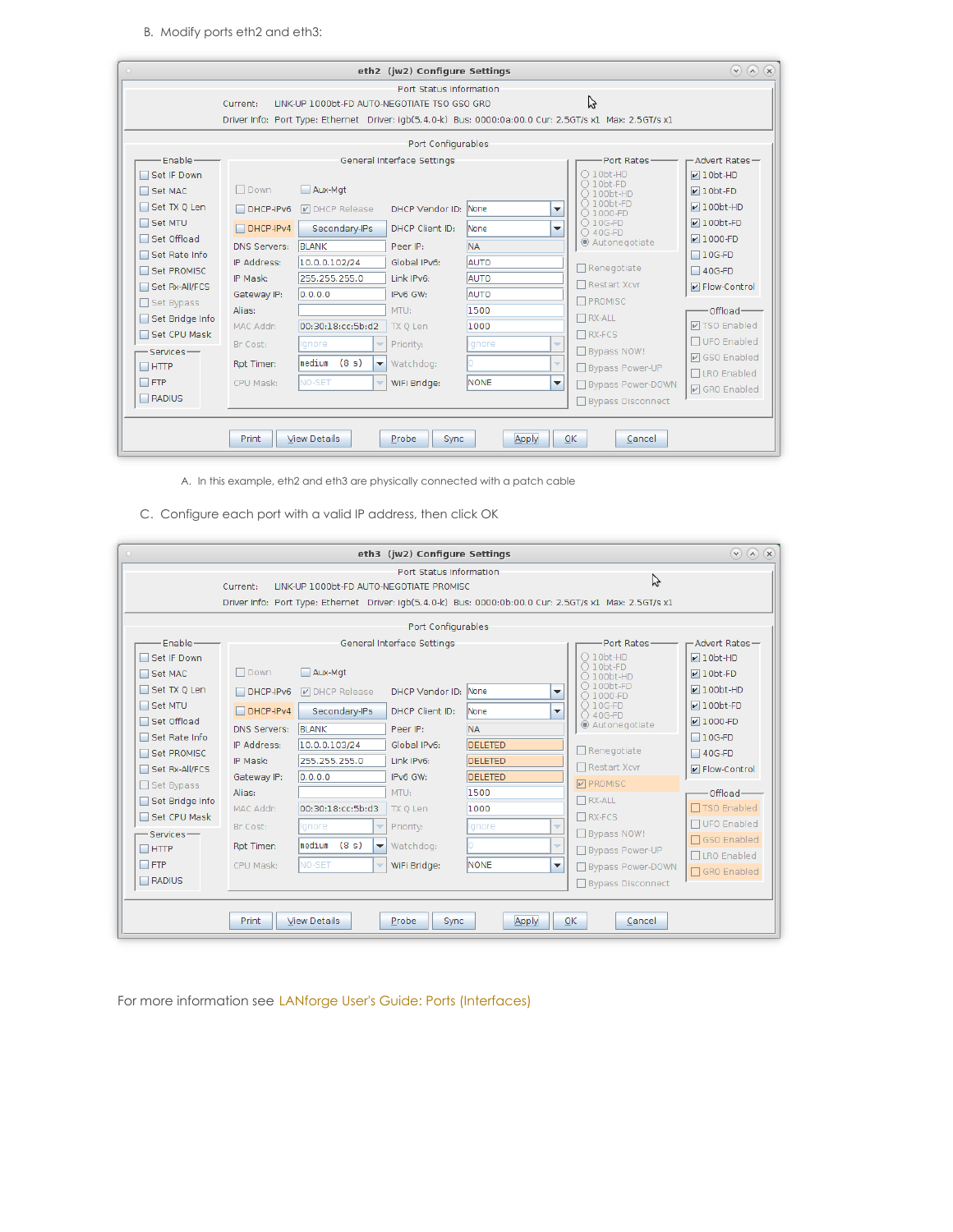B. Modify ports eth2 and eth3:

| $\circ$ |                                 |                                    |                                              | eth2 (jw2) Configure Settings |                                                      |                                                                                                              | $(\vee)$ $(\wedge)$ $(\times)$        |
|---------|---------------------------------|------------------------------------|----------------------------------------------|-------------------------------|------------------------------------------------------|--------------------------------------------------------------------------------------------------------------|---------------------------------------|
|         |                                 | Current:                           | LINK-UP 1000bt-FD AUTO-NEGOTIATE TSO GSO GRO | Port Status Information       |                                                      | Ų<br>Driver Info: Port Type: Ethernet Driver: igb(5.4.0-k) Bus: 0000:0a:00.0 Cur: 2.5GT/s x1 Max: 2.5GT/s x1 |                                       |
|         |                                 |                                    |                                              | Port Configurables            |                                                      |                                                                                                              |                                       |
|         | Enable-<br>Set IF Down          |                                    |                                              | General Interface Settings    |                                                      | Port Rates-<br>$\bigcirc$ 10bt-HD<br>$\bigcirc$ 10bt-FD                                                      | -Advert Rates-<br>$V10bt-HD$          |
|         | Set MAC<br>Set TX Q Len         | $\Box$ Down<br>$DHCP-IPv6$         | Aux-Mat<br><b>D</b> DHCP Release             | DHCP Vendor ID: None          | ▼                                                    | $\bigcirc$ 100bt-HD<br>$O$ 100bt-FD<br>○ 1000-FD                                                             | $\nu$ 10bt-FD<br>$\nu$ 100bt-HD       |
|         | Set MTU<br>Set Offload          | $DHCP-IPv4$<br><b>DNS Servers:</b> | Secondary-IPs<br><b>BLANK</b>                | DHCP Client ID:<br>Peer IP:   | <b>None</b><br>$\overline{\phantom{a}}$<br><b>NA</b> | $\bigcirc$ 10G-FD<br>○ 40G-FD<br>◉ Autonegotiate                                                             | $\n  100$ ht-FD<br>$\nabla$ 1000-FD   |
|         | Set Rate Info<br>Set PROMISC    | IP Address:<br>IP Mask:            | 10.0.0.102/24<br>255.255.255.0               | Global IPv6:<br>Link IPv6:    | AUTO<br>AUTO                                         | $\Box$ Renegotiate<br>□ Restart Xcvr                                                                         | $\Box$ 10G-FD<br>$\Box$ 40G-FD        |
|         | Set Rx-All/FCS<br>Set Bypass    | Gateway IP:<br>Alias:              | 0.0.0.0                                      | IPv6 GW:<br>MTU:              | <b>AUTO</b><br>1500                                  | <b>T</b> PROMISC                                                                                             | P Flow-Control<br>-Offload-           |
|         | Set Bridge Info<br>Set CPU Mask | MAC Addr:<br>Br Cost:              | 00:30:18:cc:5b:d2<br>Ignore<br>v             | TX Q Len<br>Priority:         | 1000<br>Ignore<br>$\overline{\phantom{a}}$           | $\Box$ RX-ALL<br>$\Box$ RX-FCS                                                                               | <b>☑ TSO Enabled</b><br>□ UFO Enabled |
|         | $-$ Services $-$<br>$\Box$ HTTP | Rpt Timer:                         | lmedium<br>(8 s)<br>$\blacktriangledown$     | Watchdog:                     | $\overline{\phantom{a}}$                             | Bypass NOW!<br>Bypass Power-UP                                                                               | <b>Ø</b> GSO Enabled<br>□ LRO Enabled |
|         | $\Box$ FTP<br>$\Box$ RADIUS     | CPU Mask:                          | NO-SET<br>÷                                  | WiFi Bridge:                  | <b>NONE</b><br>$\overline{\phantom{a}}$              | Bypass Power-DOWN<br>Bypass Disconnect                                                                       | <b>☑</b> GRO Enabled                  |
|         |                                 | Print                              | <b>View Details</b>                          | Probe<br><b>Sync</b>          | Apply                                                | 0K<br>Cancel                                                                                                 |                                       |

A. In this example, eth2 and eth3 are physically connected with a patch cable

C. Configure each port with a valid IP address, then click OK

| $\circ$                         |                                    |                                                      | eth3 (jw2) Configure Settings |                                  |                          |                                                                                                              | $(\vee)$ $(\wedge)$ $(\times)$                 |
|---------------------------------|------------------------------------|------------------------------------------------------|-------------------------------|----------------------------------|--------------------------|--------------------------------------------------------------------------------------------------------------|------------------------------------------------|
|                                 | Current:                           | LINK-UP 1000bt-FD AUTO-NEGOTIATE PROMISC             | Port Status Information       |                                  |                          | グ<br>Driver Info: Port Type: Ethernet Driver: igb(5.4.0-k) Bus: 0000:0b:00.0 Cur: 2.5GT/s x1 Max: 2.5GT/s x1 |                                                |
|                                 |                                    |                                                      | Port Configurables            |                                  |                          |                                                                                                              |                                                |
| Enable-<br>Set IF Down          |                                    |                                                      | General Interface Settings    |                                  |                          | Port Rates-<br>$\bigcirc$ 10bt-HD                                                                            | -Advert Rates-<br>$\nu$ 10bt-HD                |
| Set MAC<br>Set TX 0 Len         | Down<br>$DHCP-IPv6$                | Aux-Mat<br><b>DHCP</b> Release                       | DHCP Vendor ID:               | <b>None</b>                      | $\overline{\phantom{a}}$ | $\bigcirc$ 10bt-FD<br>$\bigcirc$ 100bt-HD<br>$\bigcirc$ 100bt-FD                                             | $\nu$ 10bt-FD<br>$\nu$ 100bt-HD                |
| Set MTU<br>□ Set Offload        | $\Box$ DHCP-IPv4                   | Secondary-IPs                                        | DHCP Client ID:               | <b>None</b>                      | ▼                        | ○ 1000-FD<br>○ 10G-FD<br>○ 40G-FD<br>◉ Autonegotiate                                                         | $\nu$ 100bt-FD<br>$V1000-FD$                   |
| Set Rate Info<br>Set PROMISC    | <b>DNS Servers:</b><br>IP Address: | <b>BLANK</b><br>10.0.0.103/24                        | Peer IP:<br>Global IPv6:      | <b>NA</b><br><b>DELETED</b>      |                          | Renegotiate                                                                                                  | $\Box$ 10G-FD<br>$\Box$ 40G-FD                 |
| Set Rx-All/FCS<br>Set Bypass    | IP Mask:<br>Gateway IP:            | 255.255.255.0<br>0.0.0.0                             | Link IPv6:<br>IPv6 GW:        | <b>DELETED</b><br><b>DELETED</b> |                          | □ Restart Xcvr<br><b>PROMISC</b>                                                                             | $\triangleright$ Flow-Control                  |
| Set Bridge Info<br>Set CPU Mask | Alias:<br>MAC Addr:                | 00:30:18:cc:5b:d3                                    | MTU:<br>TX Q Len              | 1500<br>1000                     |                          | $\Box$ RX-ALL<br>$\Box$ RX-FCS                                                                               | Offload-<br>□ TSO Enabled                      |
| Services-<br>$\Box$ HTTP        | Br Cost:<br>Rpt Timer:             | lanore<br>medium<br>(8 s)<br>$\overline{\mathbf{v}}$ | Priority:<br>Watchdog:        | Ignore                           | ÷<br>÷                   | Bypass NOW!<br>□ Bypass Power-UP                                                                             | □ UFO Enabled<br>□ GSO Enabled<br>□LRO Enabled |
| $\Box$ FTP<br>RADIUS            | CPU Mask:                          | <b>NO-SET</b><br>$\overline{\phantom{a}}$            | WiFi Bridge:                  | <b>NONE</b>                      | $\overline{\phantom{a}}$ | Bypass Power-DOWN<br>□ Bypass Disconnect                                                                     | □ GRO Enabled                                  |
|                                 | <b>Print</b>                       | <b>View Details</b>                                  | Probe<br><b>Sync</b>          | Apply                            | 0K                       | Cancel                                                                                                       |                                                |

For more information see LANforge User's Guide: Ports [\(Interfaces\)](http://www.candelatech.com/lfgui_ug.php#port)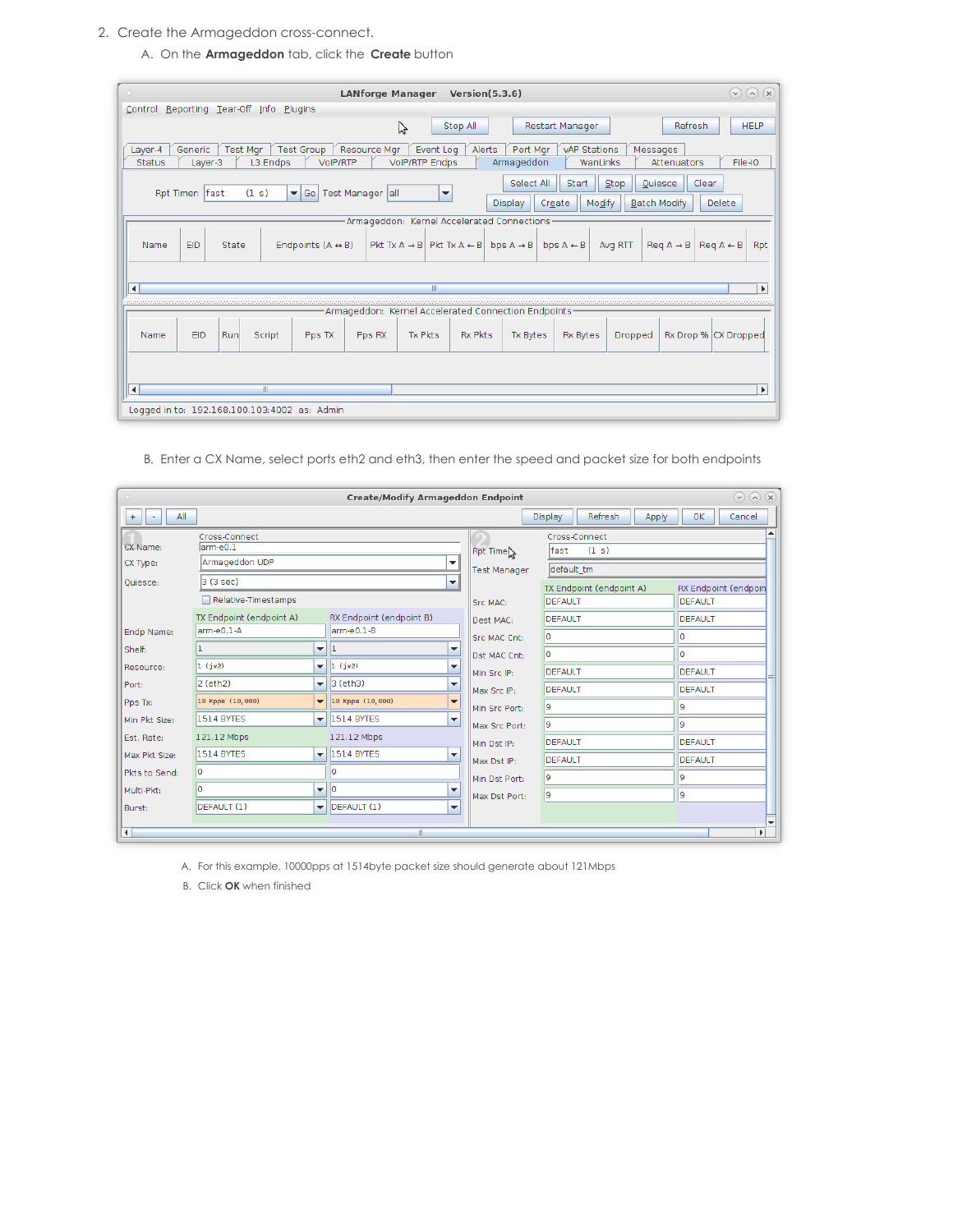- 2. Create the Armageddon cross-connect.
	- A. On the **Armageddon** tab, click the **Create** button

| (x)<br>$\circ$<br><b>LANforge Manager</b><br>Version(5.3.6)<br>$(\mathbf{v})$<br>$\omega$                                                                                                                                                                                                       |  |  |  |  |  |  |  |  |
|-------------------------------------------------------------------------------------------------------------------------------------------------------------------------------------------------------------------------------------------------------------------------------------------------|--|--|--|--|--|--|--|--|
| Reporting Tear-Off Info<br>Plugins<br>Control                                                                                                                                                                                                                                                   |  |  |  |  |  |  |  |  |
| Refresh<br><b>HELP</b><br>グ<br>Stop All<br><b>Restart Manager</b>                                                                                                                                                                                                                               |  |  |  |  |  |  |  |  |
| <b>Test Group</b><br><b>Test Mar</b><br>Event Log<br>Alerts<br><b>vAP Stations</b><br>Layer-4<br>Generic<br><b>Resource Mgr</b><br>Port Mgr<br>Messages<br>File-IO<br>L3 Endps<br><b>VolP/RTP Endps</b><br>Armageddon<br><b>Status</b><br>VoIP/RTP<br>WanLinks<br>Attenuators<br>Layer-3        |  |  |  |  |  |  |  |  |
| Select All<br>Clear<br>Start<br>Stop<br>Quiesce<br>Rpt Timer: fast<br>(1 s)<br>Test Manager all<br>$\blacktriangledown$ Go<br>$\overline{\phantom{a}}$<br>Modify<br><b>Batch Modify</b><br>Delete<br><b>Display</b><br>Create                                                                   |  |  |  |  |  |  |  |  |
| Armageddon: Kernel Accelerated Connections                                                                                                                                                                                                                                                      |  |  |  |  |  |  |  |  |
| Endpoints $(A \leftrightarrow B)$<br>$ $ Pkt Tx A $\rightarrow$ B $ $ Pkt Tx A $\leftarrow$ B $ $ bps A $\rightarrow$ B $ $<br>bps $A \leftarrow B$<br>$\text{Re} q \land \rightarrow \text{B}$<br>$\text{Re} q \land \text{ } \in \text{ } B$<br><b>EID</b><br>State<br>Avg RTT<br>Rpt<br>Name |  |  |  |  |  |  |  |  |
|                                                                                                                                                                                                                                                                                                 |  |  |  |  |  |  |  |  |
| $\blacktriangleleft$<br>Ш<br>$\blacktriangleright$                                                                                                                                                                                                                                              |  |  |  |  |  |  |  |  |
| Armageddon: Kernel Accelerated Connection Endpoints                                                                                                                                                                                                                                             |  |  |  |  |  |  |  |  |
| <b>Tx Pkts</b><br><b>Rx Pkts</b><br><b>EID</b><br>Tx Bytes<br><b>Rx Bytes</b><br>Rx Drop % CX Dropped<br>Run<br>Script<br>Pps TX<br>Pps RX<br>Dropped<br>Name                                                                                                                                   |  |  |  |  |  |  |  |  |
| $\blacktriangleleft$<br>Ш<br>$\blacktriangleright$                                                                                                                                                                                                                                              |  |  |  |  |  |  |  |  |
| Logged in to: 192.168.100.103:4002 as: Admin                                                                                                                                                                                                                                                    |  |  |  |  |  |  |  |  |

B. Enter a CX Name, select ports eth2 and eth3, then enter the speed and packet size for both endpoints

| $\Omega$<br>$(\checkmark)$<br>$\alpha$<br><b>Create/Modify Armageddon Endpoint</b><br>$\circ$ |                                        |                                              |                                                                |                     |                                     |                                 |  |  |  |
|-----------------------------------------------------------------------------------------------|----------------------------------------|----------------------------------------------|----------------------------------------------------------------|---------------------|-------------------------------------|---------------------------------|--|--|--|
| All<br>$+$<br>٠                                                                               |                                        |                                              |                                                                |                     | Refresh<br><b>Display</b><br>Apply  | <b>OK</b><br>Cancel             |  |  |  |
|                                                                                               | Cross-Connect                          |                                              |                                                                |                     | Cross-Connect                       |                                 |  |  |  |
| CX Name:                                                                                      | larm-e0.1                              |                                              |                                                                | Rpt Time            | fast<br>(1 s)                       |                                 |  |  |  |
| CX Type:                                                                                      | Armageddon UDP                         |                                              | ▼                                                              | <b>Test Manager</b> | default tm                          |                                 |  |  |  |
| Quiesce:                                                                                      | 3(3 sec)                               |                                              | $\overline{\phantom{a}}$                                       |                     |                                     |                                 |  |  |  |
|                                                                                               | Relative-Timestamps                    |                                              |                                                                | Src MAC:            | TX Endpoint (endpoint A)<br>DEFAULT | RX Endpoint (endpoin<br>DEFAULT |  |  |  |
|                                                                                               | TX Endpoint (endpoint A)               |                                              | RX Endpoint (endpoint B)                                       | Dest MAC:           | DEFAULT                             | <b>DEFAULT</b>                  |  |  |  |
| Endp Name:                                                                                    | larm-e0.1-A                            |                                              | larm-e0.1-B                                                    | <b>Src MAC Cnt:</b> | lo                                  | I٥                              |  |  |  |
| Shelf:                                                                                        |                                        | $\mathbf{v}$   1                             | ▼                                                              | Dst MAC Cnt:        | ١o                                  | lo.                             |  |  |  |
| Resource:                                                                                     | 1(jw2)                                 | $\vert$ 1 (jw2)<br>$\blacktriangledown$<br>▼ |                                                                | Min Src IP:         | DEFAULT                             | DEFAULT                         |  |  |  |
| Port:                                                                                         | $ 2$ (eth $2$ )                        |                                              | $\overline{\phantom{a}}$ 3 (eth3)<br>$\overline{\phantom{a}}$  | Max Src IP:         | DEFAULT                             | <b>DEFAULT</b>                  |  |  |  |
| Pps Tx:                                                                                       | 10 Kpps (10,000)                       |                                              | $\blacktriangledown$ 10 Kpps (10,000)<br>▼                     | Min Src Port:       | 19                                  | l9.                             |  |  |  |
| Min Pkt Size:                                                                                 | <b>1514 BYTES</b>                      |                                              | $\overline{\mathbf{v}}$ 1514 BYTES<br>$\overline{\phantom{a}}$ | Max Src Port:       | l9                                  | l9                              |  |  |  |
| Est. Rate:                                                                                    | 121.12 Mbps                            |                                              | 121.12 Mbps                                                    | Min Dst IP:         | DEFAULT                             | DEFAULT                         |  |  |  |
| Max Pkt Size:                                                                                 | 1514 BYTES                             |                                              | $\overline{\mathbf{v}}$ 1514 BYTES<br>$\overline{\phantom{a}}$ | Max Dst IP:         | DEFAULT                             | DEFAULT                         |  |  |  |
| Pkts to Send:                                                                                 | lo.<br>O                               |                                              |                                                                | Min Dst Port:       | l9                                  | 9                               |  |  |  |
| Multi-Pkt:                                                                                    | l lo<br>I۵<br>$\overline{\phantom{a}}$ |                                              | $\overline{\phantom{a}}$                                       | Max Dst Port:       | l9.                                 | l9.                             |  |  |  |
| Burst:                                                                                        | DEFAULT (1)                            |                                              | $\blacktriangledown$ DEFAULT (1)<br>$\blacktriangledown$       |                     |                                     |                                 |  |  |  |
|                                                                                               |                                        |                                              |                                                                |                     |                                     |                                 |  |  |  |
| $\left  \right $                                                                              |                                        |                                              | Ш                                                              |                     |                                     | $\blacktriangleright$           |  |  |  |

A. For this example, 10000pps at 1514byte packet size should generate about 121Mbps

B. Click **OK** when finished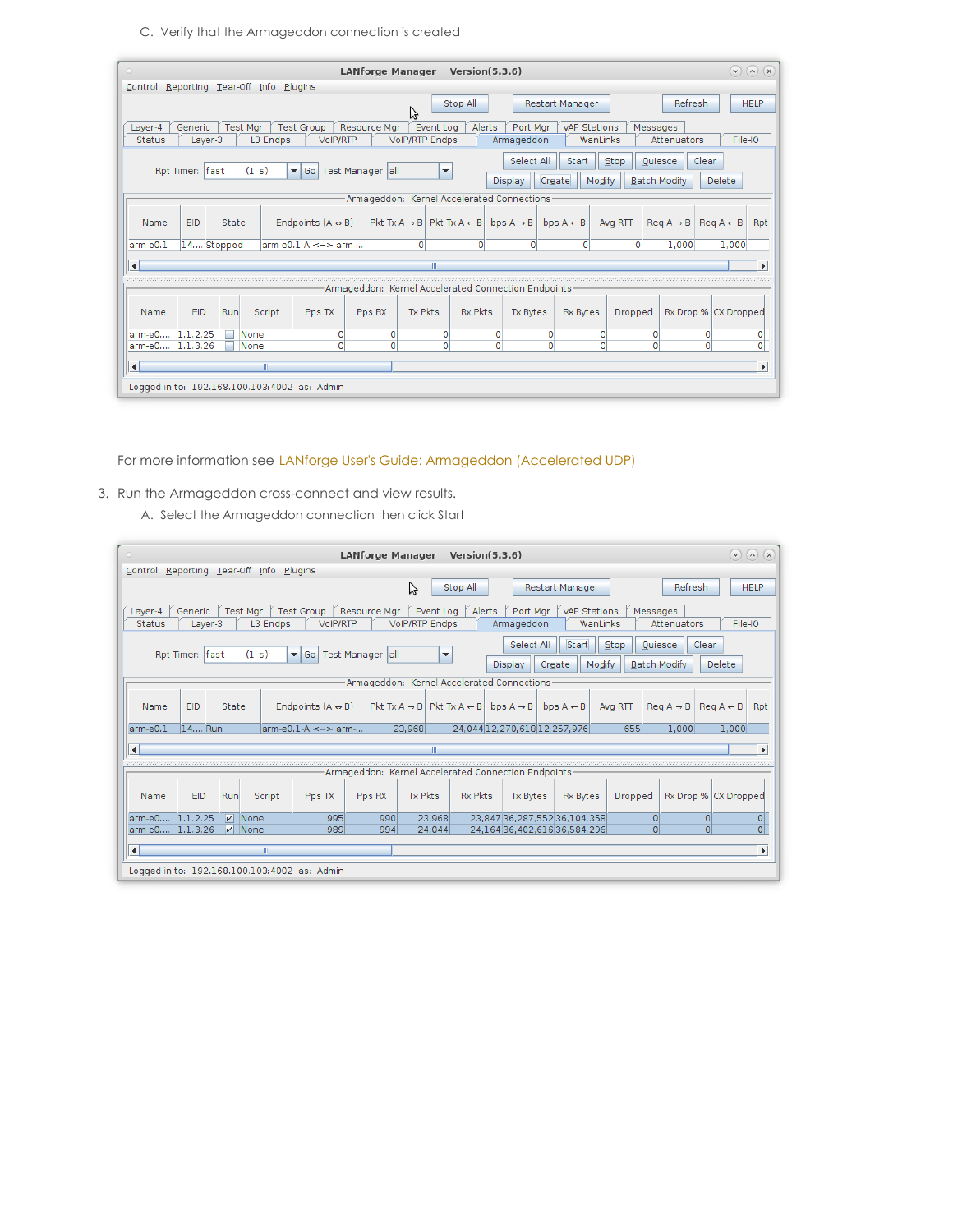C. Verify that the Armageddon connection is created

| $(\checkmark)$<br>$\left( \mathbf{v}\right)$<br>$\circ$<br><b>LANforge Manager</b><br>Version(5.3.6)                                                                                                                                                                       | (x)                   |  |  |  |  |  |  |  |
|----------------------------------------------------------------------------------------------------------------------------------------------------------------------------------------------------------------------------------------------------------------------------|-----------------------|--|--|--|--|--|--|--|
| Control Reporting Tear-Off Info Plugins                                                                                                                                                                                                                                    |                       |  |  |  |  |  |  |  |
| Refresh<br><b>HELP</b><br>Stop All<br>Restart Manager<br>ピ                                                                                                                                                                                                                 |                       |  |  |  |  |  |  |  |
| <b>Test Group</b><br>Resource Mgr<br>Event Log<br>Generic<br><b>Test Mar</b><br>Alerts<br>Port Mar<br>vAP Stations<br>Layer-4<br>Messages<br>File-IO<br>L3 Endps<br>VoIP/RTP<br><b>VolP/RTP Endps</b><br>Armageddon<br>WanLinks<br>Attenuators<br><b>Status</b><br>Layer-3 |                       |  |  |  |  |  |  |  |
| Select All<br>Clear<br><b>Start</b><br>Stop<br>Quiesce<br>(1 s)<br>Rpt Timer: fast<br>▼ Go   Test Manager   all<br>$\overline{\phantom{a}}$<br>Create<br>Modify<br><b>Batch Modify</b><br>Delete<br><b>Display</b>                                                         |                       |  |  |  |  |  |  |  |
| Armageddon: Kernel Accelerated Connections                                                                                                                                                                                                                                 |                       |  |  |  |  |  |  |  |
| Endpoints $(A \leftrightarrow B)$<br>Pkt Tx $A \rightarrow B$ Pkt Tx $A \leftarrow B$<br>bps $A \rightarrow B$<br>$\text{Re} q \land \rightarrow \text{B}$<br><b>EID</b><br>State<br>bps $A \leftarrow B$<br>Avg RTT<br>$\text{Re} q \land \leftarrow B$<br>Name           | Rpt                   |  |  |  |  |  |  |  |
| 14 Stopped<br>arm-e0.1<br>$\text{arm-e0.1-A} \leq \geq \text{arm} \dots$<br>$\circ$<br>0<br>1.000<br>1.000<br>$\Omega$<br>n<br>o                                                                                                                                           |                       |  |  |  |  |  |  |  |
| $\blacktriangleleft$                                                                                                                                                                                                                                                       | $\blacktriangleright$ |  |  |  |  |  |  |  |
| Armageddon: Kernel Accelerated Connection Endpoints                                                                                                                                                                                                                        |                       |  |  |  |  |  |  |  |
| Rx Drop % CX Dropped<br><b>EID</b><br>Run<br>Tx Pkts<br><b>Rx Pkts</b><br>Tx Bytes<br><b>Rx Bytes</b><br>Dropped<br>Script<br>Pps TX<br>Pps RX<br>Name                                                                                                                     |                       |  |  |  |  |  |  |  |
| arm-e0<br>1.1.2.25<br>None<br>$\circ$<br>$\Omega$<br>0<br>$\Omega$<br>O<br>O<br>0<br>0                                                                                                                                                                                     | $\overline{0}$        |  |  |  |  |  |  |  |
| $\Omega$<br>$\overline{0}$<br>1.1.3.26<br>$\Omega$<br>$\Omega$<br>$\Omega$<br>$\Omega$<br>larm-e0<br>None<br>$\Omega$<br>$\Omega$                                                                                                                                          | $\overline{0}$        |  |  |  |  |  |  |  |
| $\blacktriangleleft$<br>Ш<br>$\blacktriangleright$                                                                                                                                                                                                                         |                       |  |  |  |  |  |  |  |
| Logged in to: 192.168.100.103:4002 as: Admin                                                                                                                                                                                                                               |                       |  |  |  |  |  |  |  |

For more information see LANforge User's Guide: [Armageddon](http://www.candelatech.com/lfgui_ug.php#arm) (Accelerated UDP)

- 3. Run the Armageddon cross-connect and view results.
	- A. Select the Armageddon connection then click Start

| $\circ$                                                                                                                                                                                                                                                                           | <b>LANforge Manager</b>                              |                                                                            | Version(5.3.6) |                              |                        |                |                                          | $(\vee)$<br>$\left(\mathbf{v}\right)$         | (x)                   |
|-----------------------------------------------------------------------------------------------------------------------------------------------------------------------------------------------------------------------------------------------------------------------------------|------------------------------------------------------|----------------------------------------------------------------------------|----------------|------------------------------|------------------------|----------------|------------------------------------------|-----------------------------------------------|-----------------------|
| Reporting Tear-Off Info<br>Control                                                                                                                                                                                                                                                | Plugins                                              |                                                                            |                |                              |                        |                |                                          |                                               |                       |
|                                                                                                                                                                                                                                                                                   |                                                      | グ                                                                          | Stop All       |                              | <b>Restart Manager</b> |                | Refresh                                  | <b>HELP</b>                                   |                       |
| <b>Test Group</b><br><b>Resource Mar</b><br>Event Log<br>Alerts<br>Port Mar<br>Layer-4<br>Generic<br><b>Test Mar</b><br>vAP Stations<br>Messages<br><b>VolP/RTP Endps</b><br>File-IO<br>Status<br>L3 Endps<br><b>VoIP/RTP</b><br>Armageddon<br>WanLinks<br>Attenuators<br>Layer-3 |                                                      |                                                                            |                |                              |                        |                |                                          |                                               |                       |
| Select All<br>Start<br>Clear<br>Stop<br>Quiesce<br>(1 s)<br>Rpt Timer: fast<br>▼ Go   Test Manager   all<br>$\overline{\phantom{a}}$<br>Modify<br><b>Batch Modify</b><br>Delete<br><b>Display</b><br>Create                                                                       |                                                      |                                                                            |                |                              |                        |                |                                          |                                               |                       |
|                                                                                                                                                                                                                                                                                   |                                                      | Armageddon: Kernel Accelerated Connections                                 |                |                              |                        |                |                                          |                                               |                       |
| EID<br><b>State</b><br>Name                                                                                                                                                                                                                                                       | Endpoints $(A \leftrightarrow B)$                    | Pkt Tx A $\rightarrow$ B   Pkt Tx A $\leftarrow$ B   bps A $\rightarrow$ B |                |                              | bps $A \leftarrow B$   | Avg RTT        | $\text{Re} q \land \rightarrow \text{B}$ | $\text{Re}a \mathsf{A} \leftarrow \mathsf{B}$ | Rpt                   |
| $14$ Run<br>arm-e0.1                                                                                                                                                                                                                                                              | $\text{arm-e0.1-A} \leq \geq \text{arm} \dots$       | 23.968                                                                     |                | 24.044 12.270.618 12.257.976 |                        | 655            | 1.000                                    | 1,000                                         |                       |
| $\blacktriangleleft$                                                                                                                                                                                                                                                              |                                                      |                                                                            |                |                              |                        |                |                                          |                                               | $\blacktriangleright$ |
|                                                                                                                                                                                                                                                                                   | Armageddon: Kernel Accelerated Connection Endpoints- |                                                                            |                |                              |                        |                |                                          |                                               |                       |
| Run<br><b>EID</b><br>Script<br>Name                                                                                                                                                                                                                                               | Pps RX<br>Pps TX                                     | Tx Pkts                                                                    | <b>Rx Pkts</b> | <b>Tx Bytes</b>              | <b>Rx Bytes</b>        | <b>Dropped</b> | Rx Drop % CX Dropped                     |                                               |                       |
| arm-e0 1.1.2.25<br>$V$ None                                                                                                                                                                                                                                                       | 995<br>990                                           | 23.968                                                                     |                | 23.84736.287.55236.104.358   |                        | $\Omega$       | $\Omega$                                 |                                               | ol                    |
| arm-e0 1.1.3.26<br>$ V $ None                                                                                                                                                                                                                                                     | 989<br>994                                           | 24.044                                                                     |                | 24,16436,402,61636,584,296   |                        | $\Omega$       | $\overline{O}$                           |                                               | $\overline{0}$        |
| $\blacktriangleleft$                                                                                                                                                                                                                                                              |                                                      |                                                                            |                |                              |                        |                |                                          |                                               | $\blacktriangleright$ |
| Logged in to: 192.168.100.103:4002 as: Admin                                                                                                                                                                                                                                      |                                                      |                                                                            |                |                              |                        |                |                                          |                                               |                       |